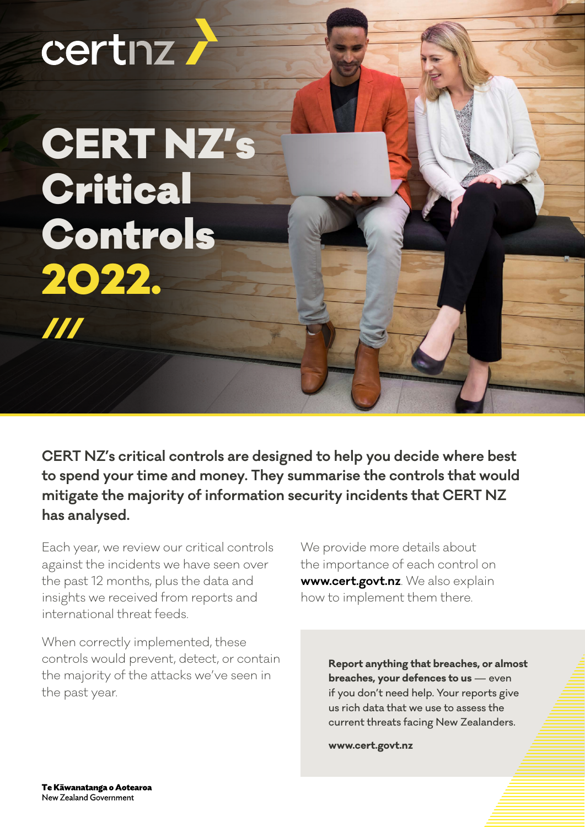# certnz.

CERT NZ's **Critical** Controls 2022.  $\boldsymbol{H}$ 

**CERT NZ's critical controls are designed to help you decide where best to spend your time and money. They summarise the controls that would mitigate the majority of information security incidents that CERT NZ has analysed.**

Each year, we review our critical controls against the incidents we have seen over the past 12 months, plus the data and insights we received from reports and international threat feeds.

When correctly implemented, these controls would prevent, detect, or contain the majority of the attacks we've seen in the past year.

We provide more details about the importance of each control on **[www.cert.govt.nz](http://Each year, we review our critical controls against the incidents we have seen over the past 12 months, plus the data and insights we received from reports and international threat feeds.
 
When correctly implemented, these controls would prevent, detect, or contain the majority of the attacks we’ve seen in the past year.
 
We provide more details about the importance of each control on www.cert.govt.nz. We also explain how to implement them there.)**. We also explain how to implement them there.

> **[Report anything that breaches, or almost](www.cert.govt.nz)  [breaches, your defences to us](www.cert.govt.nz)** — even [if you don't need help. Your reports give](www.cert.govt.nz)  us [rich data that we use to assess the](www.cert.govt.nz)  current [threats facing New Zealanders.](www.cert.govt.nz)

**www.cert.govt.nz**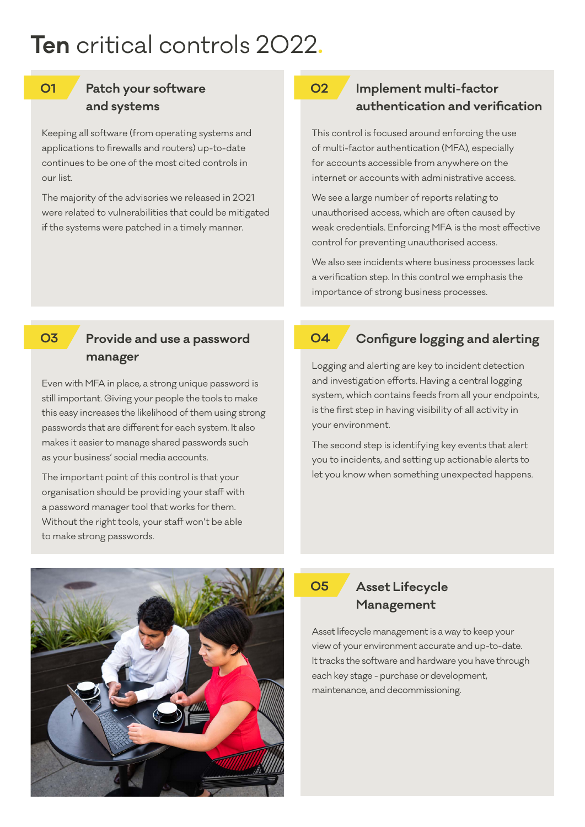# **Ten** critical controls 2022**.**

#### **01**

### **Patch your software and systems**

Keeping all software (from operating systems and applications to firewalls and routers) up-to-date continues to be one of the most cited controls in our list.

The majority of the advisories we released in 2021 were related to vulnerabilities that could be mitigated if the systems were patched in a timely manner.

#### **Implement multi-factor authentication and verification 02**

This control is focused around enforcing the use of multi-factor authentication (MFA), especially for accounts accessible from anywhere on the internet or accounts with administrative access.

We see a large number of reports relating to unauthorised access, which are often caused by weak credentials. Enforcing MFA is the most effective control for preventing unauthorised access.

We also see incidents where business processes lack a verification step. In this control we emphasis the importance of strong business processes.

#### **03**

#### **Provide and use a password manager**

Even with MFA in place, a strong unique password is still important. Giving your people the tools to make this easy increases the likelihood of them using strong passwords that are different for each system. It also makes it easier to manage shared passwords such as your business' social media accounts.

The important point of this control is that your organisation should be providing your staff with a password manager tool that works for them. Without the right tools, your staff won't be able to make strong passwords.

#### **04**

#### **Configure logging and alerting**

Logging and alerting are key to incident detection and investigation efforts. Having a central logging system, which contains feeds from all your endpoints, is the first step in having visibility of all activity in your environment.

The second step is identifying key events that alert you to incidents, and setting up actionable alerts to let you know when something unexpected happens.



## **05**

### **Asset Lifecycle Management**

Asset lifecycle management is a way to keep your view of your environment accurate and up-to-date. It tracks the software and hardware you have through each key stage - purchase or development, maintenance, and decommissioning.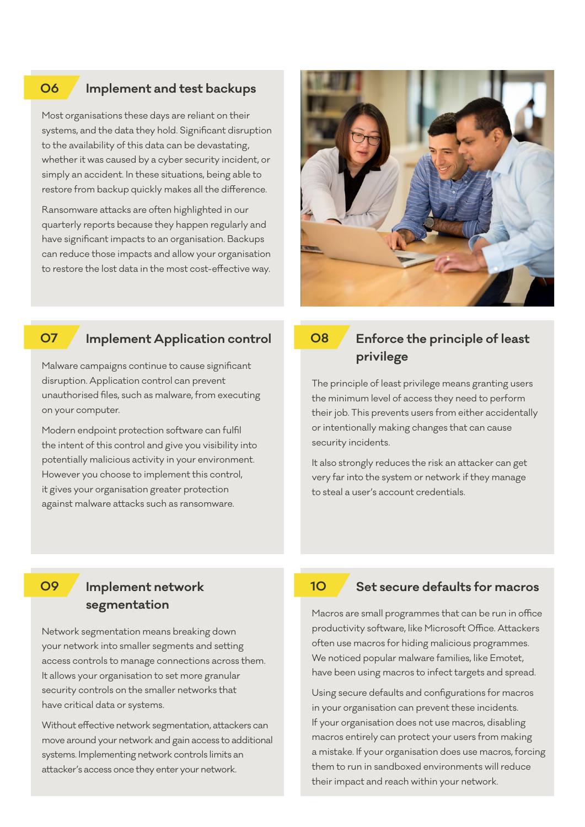#### **Implement and test backups 06**

Most organisations these days are reliant on their systems, and the data they hold. Significant disruption to the availability of this data can be devastating, whether it was caused by a cyber security incident, or simply an accident. In these situations, being able to restore from backup quickly makes all the difference.

Ransomware attacks are often highlighted in our quarterly reports because they happen regularly and have significant impacts to an organisation. Backups can reduce those impacts and allow your organisation to restore the lost data in the most cost-effective way.

Malware campaigns continue to cause significant disruption. Application control can prevent

unauthorised files, such as malware, from executing

Modern endpoint protection software can fulfil the intent of this control and give you visibility into potentially malicious activity in your environment. However you choose to implement this control, it gives your organisation greater protection against malware attacks such as ransomware.

**Implement Application control**



#### **08**

## **Enforce the principle of least privilege**

The principle of least privilege means granting users the minimum level of access they need to perform their job. This prevents users from either accidentally or intentionally making changes that can cause security incidents.

It also strongly reduces the risk an attacker can get very far into the system or network if they manage to steal a user's account credentials.

on your computer.

**07**

#### **Implement network 09 10 segmentation**

Network segmentation means breaking down your network into smaller segments and setting access controls to manage connections across them. It allows your organisation to set more granular security controls on the smaller networks that have critical data or systems.

Without effective network segmentation, attackers can move around your network and gain access to additional systems. Implementing network controls limits an attacker's access once they enter your network.

#### **Set secure defaults for macros**

Macros are small programmes that can be run in office productivity software, like Microsoft Office. Attackers often use macros for hiding malicious programmes. We noticed popular malware families, like Emotet, have been using macros to infect targets and spread.

Using secure defaults and configurations for macros in your organisation can prevent these incidents. If your organisation does not use macros, disabling macros entirely can protect your users from making a mistake. If your organisation does use macros, forcing them to run in sandboxed environments will reduce their impact and reach within your network.